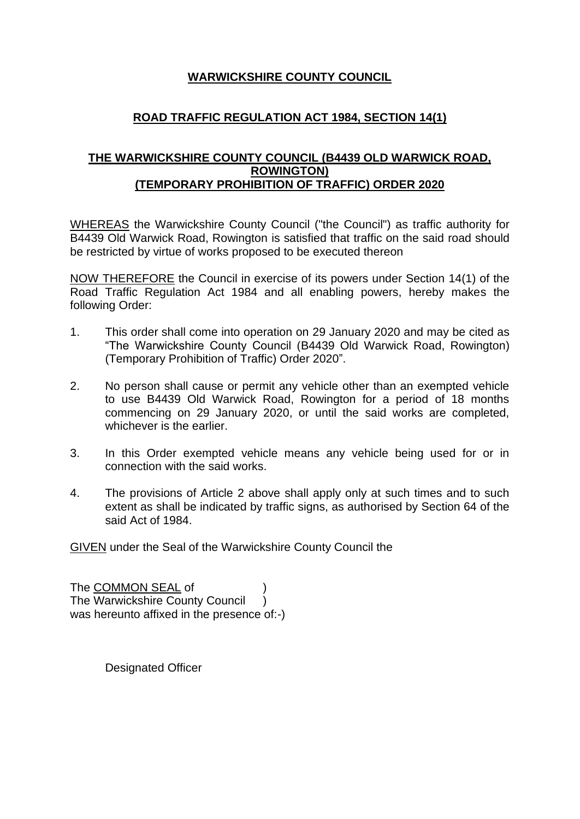## **WARWICKSHIRE COUNTY COUNCIL**

## **ROAD TRAFFIC REGULATION ACT 1984, SECTION 14(1)**

## **THE WARWICKSHIRE COUNTY COUNCIL (B4439 OLD WARWICK ROAD, ROWINGTON) (TEMPORARY PROHIBITION OF TRAFFIC) ORDER 2020**

WHEREAS the Warwickshire County Council ("the Council") as traffic authority for B4439 Old Warwick Road, Rowington is satisfied that traffic on the said road should be restricted by virtue of works proposed to be executed thereon

NOW THEREFORE the Council in exercise of its powers under Section 14(1) of the Road Traffic Regulation Act 1984 and all enabling powers, hereby makes the following Order:

- 1. This order shall come into operation on 29 January 2020 and may be cited as "The Warwickshire County Council (B4439 Old Warwick Road, Rowington) (Temporary Prohibition of Traffic) Order 2020".
- 2. No person shall cause or permit any vehicle other than an exempted vehicle to use B4439 Old Warwick Road, Rowington for a period of 18 months commencing on 29 January 2020, or until the said works are completed, whichever is the earlier.
- 3. In this Order exempted vehicle means any vehicle being used for or in connection with the said works.
- 4. The provisions of Article 2 above shall apply only at such times and to such extent as shall be indicated by traffic signs, as authorised by Section 64 of the said Act of 1984.

GIVEN under the Seal of the Warwickshire County Council the

The COMMON SEAL of The Warwickshire County Council ) was hereunto affixed in the presence of:-)

Designated Officer